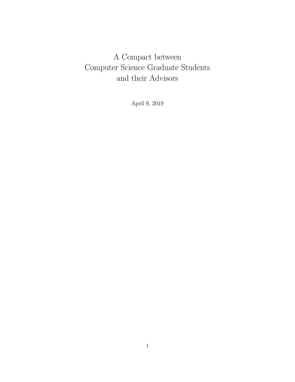# A Compact between Computer Science Graduate Students and their Advisors

April 9, 2019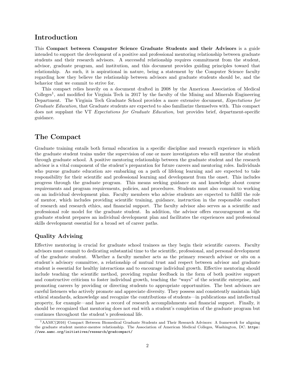## Introduction

This Compact between Computer Science Graduate Students and their Advisors is a guide intended to support the development of a positive and professional mentoring relationship between graduate students and their research advisors. A successful relationship requires commitment from the student, advisor, graduate program, and institution, and this document provides guiding principles toward that relationship. As such, it is aspirational in nature, being a statement by the Computer Science faculty regarding how they believe the relationship between advisors and graduate students should be, and the behavior that we commit to strive for.

This compact relies heavily on a document drafted in 2008 by the American Association of Medical Colleges<sup>1</sup>, and modified for Virginia Tech in 2017 by the faculty of the Mining and Minerals Engineering Department. The Virginia Tech Graduate School provides a more extensive document, Expectations for Graduate Education, that Graduate students are expected to also familiarize themselves with. This compact does not supplant the VT Expectations for Graduate Education, but provides brief, department-specific guidance.

## The Compact

Graduate training entails both formal education in a specific discipline and research experience in which the graduate student trains under the supervision of one or more investigators who will mentor the student through graduate school. A positive mentoring relationship between the graduate student and the research advisor is a vital component of the student's preparation for future careers and mentoring roles. Individuals who pursue graduate education are embarking on a path of lifelong learning and are expected to take responsibility for their scientific and professional learning and development from the onset. This includes progress through the graduate program. This means seeking guidance on and knowledge about course requirements and program requirements, policies, and procedures. Students must also commit to working on an individual development plan. Faculty members who advise students are expected to fulfill the role of mentor, which includes providing scientific training, guidance, instruction in the responsible conduct of research and research ethics, and financial support. The faculty advisor also serves as a scientific and professional role model for the graduate student. In addition, the advisor offers encouragement as the graduate student prepares an individual development plan and facilitates the experiences and professional skills development essential for a broad set of career paths.

### Quality Advising

Effective mentoring is crucial for graduate school trainees as they begin their scientific careers. Faculty advisors must commit to dedicating substantial time to the scientific, professional, and personal development of the graduate student. Whether a faculty member acts as the primary research advisor or sits on a student's advisory committee, a relationship of mutual trust and respect between advisor and graduate student is essential for healthy interactions and to encourage individual growth. Effective mentoring should include teaching the scientific method, providing regular feedback in the form of both positive support and constructive criticism to foster individual growth, teaching the "ways" of the scientific enterprise, and promoting careers by providing or directing students to appropriate opportunities. The best advisors are careful listeners who actively promote and appreciate diversity. They possess and consistently maintain high ethical standards, acknowledge and recognize the contributions of students—in publications and intellectual property, for example—and have a record of research accomplishments and financial support. Finally, it should be recognized that mentoring does not end with a student's completion of the graduate program but continues throughout the student's professional life.

<sup>1</sup>AAMC(2016) Compact Between Biomedical Graduate Students and Their Research Advisors: A framework for aligning the graduate student mentor-mentee relationship. The Association of American Medical Colleges, Washington, DC. https: //www.aamc.org/initiatives/research/gradcompact/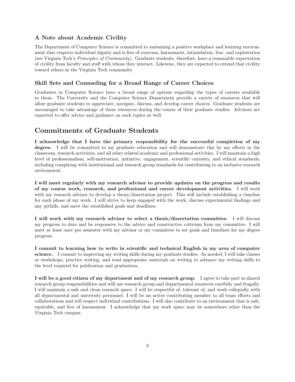#### A Note about Academic Civility

The Department of Computer Science is committed to sustaining a positive workplace and learning environment that respects individual dignity and is free of coercion, harassment, intimidation, fear, and exploitation (see Virginia Tech's Principles of Community). Graduate students, therefore, have a reasonable expectation of civility from faculty and staff with whom they interact. Likewise, they are expected to extend that civility toward others in the Virginia Tech community.

#### Skill Sets and Counseling for a Broad Range of Career Choices

Graduates in Computer Science have a broad range of options regarding the types of careers available to them. The University and the Computer Science Department provide a variety of resources that will allow graduate students to appreciate, navigate, discuss, and develop career choices. Graduate students are encouraged to take advantage of these resources during the course of their graduate studies. Advisors are expected to offer advice and guidance on such topics as well.

## Commitments of Graduate Students

I acknowledge that I have the primary responsibility for the successful completion of my degree. I will be committed to my graduate education and will demonstrate this by my efforts in the classroom, research activities, and all other related academic and professional activities. I will maintain a high level of professionalism, self-motivation, initiative, engagement, scientific curiosity, and ethical standards, including complying with institutional and research group standards for contributing to an inclusive research environment.

I will meet regularly with my research advisor to provide updates on the progress and results of my course work, research, and professional and career development activities. I will work with my research advisor to develop a thesis/dissertation project. This will include establishing a timeline for each phase of my work. I will strive to keep engaged with the work, discuss experimental findings and any pitfalls, and meet the established goals and deadlines.

I will work with my research advisor to select a thesis/dissertation committee. I will discuss my progress to date and be responsive to the advice and constructive criticism from my committee. I will meet at least once per semester with my advisor or my committee to set goals and timelines for my degree progress.

I commit to learning how to write in scientific and technical English in my area of computer science. I commit to improving my writing skills during my graduate studies. As needed, I will take classes or workshops, practice writing, and read appropriate materials on writing to advance my writing skills to the level required for publication and graduation.

I will be a good citizen of my department and of my research group. I agree to take part in shared research group responsibilities and will use research group and departmental resources carefully and frugally. I will maintain a safe and clean research space. I will be respectful of, tolerant of, and work collegially with all departmental and university personnel. I will be an active contributing member to all team efforts and collaborations and will respect individual contributions. I will also contribute to an environment that is safe, equitable, and free of harassment. I acknowledge that my work space may be somewhere other than the Virginia Tech campus.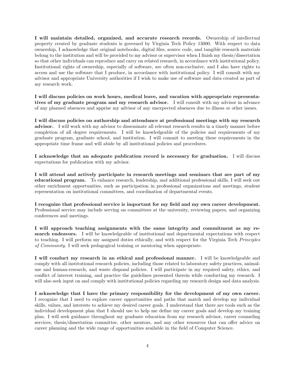I will maintain detailed, organized, and accurate research records. Ownership of intellectual property created by graduate students is governed by Virginia Tech Policy 13000. With respect to data ownership, I acknowledge that original notebooks, digital files, source code, and tangible research materials belong to the institution and will be provided to my advisor or supervisor when I finish my thesis/dissertation so that other individuals can reproduce and carry on related research, in accordance with institutional policy. Institutional rights of ownership, especially of software, are often non-exclusive, and I also have rights to access and use the software that I produce, in accordance with institutional policy. I will consult with my advisor and appropriate University authorities if I wish to make use of software and data created as part of my research work.

I will discuss policies on work hours, medical leave, and vacation with appropriate representatives of my graduate program and my research advisor. I will consult with my advisor in advance of any planned absences and apprise my advisor of any unexpected absences due to illness or other issues.

I will discuss policies on authorship and attendance at professional meetings with my research advisor. I will work with my advisor to disseminate all relevant research results in a timely manner before completion of all degree requirements. I will be knowledgeable of the policies and requirements of my graduate program, graduate school, and institution. I will commit to meeting these requirements in the appropriate time frame and will abide by all institutional policies and procedures.

I acknowledge that an adequate publication record is necessary for graduation. I will discuss expectations for publication with my advisor.

I will attend and actively participate in research meetings and seminars that are part of my educational program. To enhance research, leadership, and additional professional skills, I will seek out other enrichment opportunities, such as participation in professional organizations and meetings, student representation on institutional committees, and coordination of departmental events.

I recognize that professional service is important for my field and my own career development. Professional service may include serving on committees at the university, reviewing papers, and organizing conferences and meetings.

I will approach teaching assignments with the same integrity and commitment as my research endeavors. I will be knowledgeable of institutional and departmental expectations with respect to teaching. I will perform my assigned duties ethically, and with respect for the Virginia Tech Principles of Community. I will seek pedagogical training or mentoring when appropriate.

I will conduct my research in an ethical and professional manner. I will be knowledgeable and comply with all institutional research policies, including those related to laboratory safety practices, animaluse and human-research, and waste disposal policies. I will participate in my required safety, ethics, and conflict of interest training, and practice the guidelines presented therein while conducting my research. I will also seek input on and comply with institutional policies regarding my research design and data analysis.

I acknowledge that I have the primary responsibility for the development of my own career. I recognize that I need to explore career opportunities and paths that match and develop my individual skills, values, and interests to achieve my desired career goals. I understand that there are tools such as the individual development plan that I should use to help me define my career goals and develop my training plan. I will seek guidance throughout my graduate education from my research advisor, career counseling services, thesis/dissertation committee, other mentors, and any other resources that can offer advice on career planning and the wide range of opportunities available in the field of Computer Science.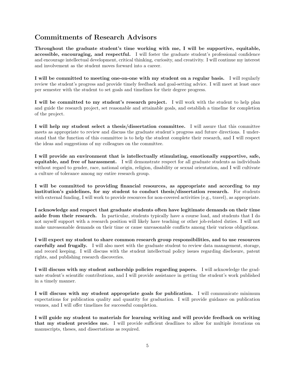## Commitments of Research Advisors

Throughout the graduate student's time working with me, I will be supportive, equitable, accessible, encouraging, and respectful. I will foster the graduate student's professional confidence and encourage intellectual development, critical thinking, curiosity, and creativity. I will continue my interest and involvement as the student moves forward into a career.

I will be committed to meeting one-on-one with my student on a regular basis. I will regularly review the student's progress and provide timely feedback and goal-setting advice. I will meet at least once per semester with the student to set goals and timelines for their degree progress.

I will be committed to my student's research project. I will work with the student to help plan and guide the research project, set reasonable and attainable goals, and establish a timeline for completion of the project.

I will help my student select a thesis/dissertation committee. I will assure that this committee meets as appropriate to review and discuss the graduate student's progress and future directions. I understand that the function of this committee is to help the student complete their research, and I will respect the ideas and suggestions of my colleagues on the committee.

I will provide an environment that is intellectually stimulating, emotionally supportive, safe, equitable, and free of harassment. I will demonstrate respect for all graduate students as individuals without regard to gender, race, national origin, religion, disability or sexual orientation, and I will cultivate a culture of tolerance among my entire research group.

I will be committed to providing financial resources, as appropriate and according to my institution's guidelines, for my student to conduct thesis/dissertation research. For students with external funding, I will work to provide resources for non-covered activities (e.g., travel), as appropriate.

I acknowledge and respect that graduate students often have legitimate demands on their time aside from their research. In particular, students typically have a course load, and students that I do not myself support with a research position will likely have teaching or other job-related duties. I will not make unreasonable demands on their time or cause unreasonable conflicts among their various obligations.

I will expect my student to share common research group responsibilities, and to use resources carefully and frugally. I will also meet with the graduate student to review data management, storage, and record keeping. I will discuss with the student intellectual policy issues regarding disclosure, patent rights, and publishing research discoveries.

I will discuss with my student authorship policies regarding papers. I will acknowledge the graduate student's scientific contributions, and I will provide assistance in getting the student's work published in a timely manner.

I will discuss with my student appropriate goals for publication. I will communicate minimum expectations for publication quality and quantity for graduation. I will provide guidance on publication venues, and I will offer timelines for successful completion.

I will guide my student to materials for learning writing and will provide feedback on writing that my student provides me. I will provide sufficient deadlines to allow for multiple iterations on manuscripts, theses, and dissertations as required.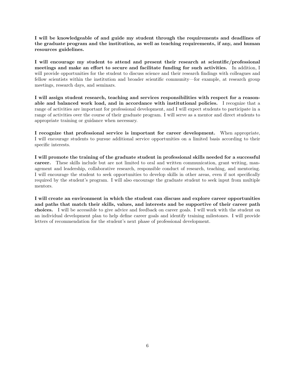I will be knowledgeable of and guide my student through the requirements and deadlines of the graduate program and the institution, as well as teaching requirements, if any, and human resources guidelines.

I will encourage my student to attend and present their research at scientific/professional meetings and make an effort to secure and facilitate funding for such activities. In addition, I will provide opportunities for the student to discuss science and their research findings with colleagues and fellow scientists within the institution and broader scientific community—for example, at research group meetings, research days, and seminars.

I will assign student research, teaching and services responsibilities with respect for a reasonable and balanced work load, and in accordance with institutional policies. I recognize that a range of activities are important for professional development, and I will expect students to participate in a range of activities over the course of their graduate program. I will serve as a mentor and direct students to appropriate training or guidance when necessary.

I recognize that professional service is important for career development. When appropriate, I will encourage students to pursue additional service opportunities on a limited basis according to their specific interests.

I will promote the training of the graduate student in professional skills needed for a successful career. These skills include but are not limited to oral and written communication, grant writing, management and leadership, collaborative research, responsible conduct of research, teaching, and mentoring. I will encourage the student to seek opportunities to develop skills in other areas, even if not specifically required by the student's program. I will also encourage the graduate student to seek input from multiple mentors.

I will create an environment in which the student can discuss and explore career opportunities and paths that match their skills, values, and interests and be supportive of their career path choices. I will be accessible to give advice and feedback on career goals. I will work with the student on an individual development plan to help define career goals and identify training milestones. I will provide letters of recommendation for the student's next phase of professional development.